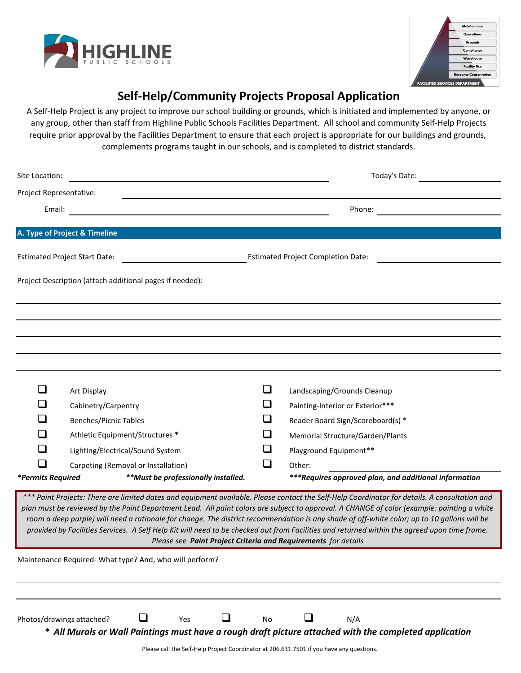



## **Self-Help/Community Projects Proposal Application**

A Self-Help Project is any project to improve our school building or grounds, which is initiated and implemented by anyone, or any group, other than staff from Highline Public Schools Facilities Department. All school and community Self-Help Projects require prior approval by the Facilities Department to ensure that each project is appropriate for our buildings and grounds, complements programs taught in our schools, and is completed to district standards.

| Site Location:            |                                                                                                                             |                             | Today's Date:                                                                                                                                                                                                                                                                                                                                                                                                                                                                                                                                                                              |
|---------------------------|-----------------------------------------------------------------------------------------------------------------------------|-----------------------------|--------------------------------------------------------------------------------------------------------------------------------------------------------------------------------------------------------------------------------------------------------------------------------------------------------------------------------------------------------------------------------------------------------------------------------------------------------------------------------------------------------------------------------------------------------------------------------------------|
| Project Representative:   |                                                                                                                             |                             |                                                                                                                                                                                                                                                                                                                                                                                                                                                                                                                                                                                            |
| Email:                    |                                                                                                                             |                             | Phone:                                                                                                                                                                                                                                                                                                                                                                                                                                                                                                                                                                                     |
|                           |                                                                                                                             |                             |                                                                                                                                                                                                                                                                                                                                                                                                                                                                                                                                                                                            |
|                           | A. Type of Project & Timeline                                                                                               |                             |                                                                                                                                                                                                                                                                                                                                                                                                                                                                                                                                                                                            |
|                           | <b>Estimated Project Start Date:</b>                                                                                        |                             | <b>Estimated Project Completion Date:</b>                                                                                                                                                                                                                                                                                                                                                                                                                                                                                                                                                  |
|                           | Project Description (attach additional pages if needed):                                                                    |                             |                                                                                                                                                                                                                                                                                                                                                                                                                                                                                                                                                                                            |
|                           |                                                                                                                             |                             |                                                                                                                                                                                                                                                                                                                                                                                                                                                                                                                                                                                            |
|                           |                                                                                                                             |                             |                                                                                                                                                                                                                                                                                                                                                                                                                                                                                                                                                                                            |
|                           |                                                                                                                             |                             |                                                                                                                                                                                                                                                                                                                                                                                                                                                                                                                                                                                            |
|                           |                                                                                                                             |                             |                                                                                                                                                                                                                                                                                                                                                                                                                                                                                                                                                                                            |
| $\mathcal{L}$             |                                                                                                                             |                             |                                                                                                                                                                                                                                                                                                                                                                                                                                                                                                                                                                                            |
|                           | Art Display<br>Cabinetry/Carpentry                                                                                          |                             | Landscaping/Grounds Cleanup<br>Painting-Interior or Exterior***                                                                                                                                                                                                                                                                                                                                                                                                                                                                                                                            |
|                           | <b>Benches/Picnic Tables</b>                                                                                                |                             | Reader Board Sign/Scoreboard(s) *                                                                                                                                                                                                                                                                                                                                                                                                                                                                                                                                                          |
|                           | Athletic Equipment/Structures *                                                                                             | $\sim$                      | Memorial Structure/Garden/Plants                                                                                                                                                                                                                                                                                                                                                                                                                                                                                                                                                           |
| $\mathcal{L}$             | Lighting/Electrical/Sound System                                                                                            |                             | Playground Equipment**                                                                                                                                                                                                                                                                                                                                                                                                                                                                                                                                                                     |
|                           | Carpeting (Removal or Installation)                                                                                         | $\mathcal{L}_{\mathcal{A}}$ | Other:                                                                                                                                                                                                                                                                                                                                                                                                                                                                                                                                                                                     |
| *Permits Required         | **Must be professionally installed.                                                                                         |                             | ***Requires approved plan, and additional information                                                                                                                                                                                                                                                                                                                                                                                                                                                                                                                                      |
|                           | Please see Paint Project Criteria and Requirements for details                                                              |                             | *** Paint Projects: There are limited dates and equipment available. Please contact the Self-Help Coordinator for details. A consultation and<br>plan must be reviewed by the Paint Department Lead. All paint colors are subject to approval. A CHANGE of color (example: painting a white<br>room a deep purple) will need a rationale for change. The district recommendation is any shade of off-white color; up to 10 gallons will be<br>provided by Facilities Services. A Self Help Kit will need to be checked out from Facilities and returned within the agreed upon time frame. |
|                           | Maintenance Required-What type? And, who will perform?                                                                      |                             |                                                                                                                                                                                                                                                                                                                                                                                                                                                                                                                                                                                            |
|                           |                                                                                                                             |                             |                                                                                                                                                                                                                                                                                                                                                                                                                                                                                                                                                                                            |
| Photos/drawings attached? | $\overline{\phantom{a}}$<br>Yes<br>Please call the Self-Help Project Coordinator at 206.631.7501 if you have any questions. | <b>No</b>                   | N/A<br>* All Murals or Wall Paintings must have a rough draft picture attached with the completed application                                                                                                                                                                                                                                                                                                                                                                                                                                                                              |
|                           |                                                                                                                             |                             |                                                                                                                                                                                                                                                                                                                                                                                                                                                                                                                                                                                            |